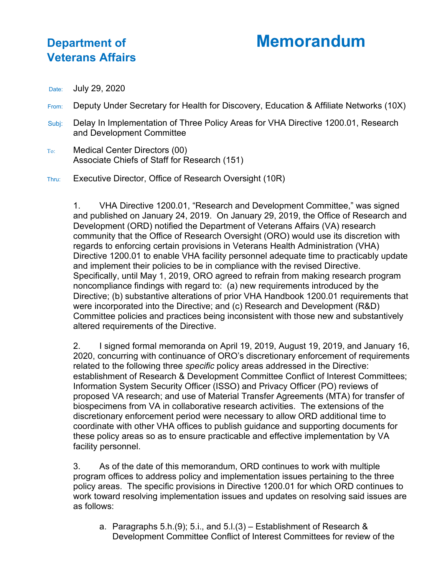## **Department of Memorandum**

## **Veterans Affairs**

Date: July 29, 2020

- From: Deputy Under Secretary for Health for Discovery, Education & Affiliate Networks (10X)
- Subj: Delay In Implementation of Three Policy Areas for VHA Directive 1200.01, Research and Development Committee
- To: Medical Center Directors (00) Associate Chiefs of Staff for Research (151)

Thru: Executive Director, Office of Research Oversight (10R)

1. VHA Directive 1200.01, "Research and Development Committee," was signed and published on January 24, 2019. On January 29, 2019, the Office of Research and Development (ORD) notified the Department of Veterans Affairs (VA) research community that the Office of Research Oversight (ORO) would use its discretion with regards to enforcing certain provisions in Veterans Health Administration (VHA) Directive 1200.01 to enable VHA facility personnel adequate time to practicably update and implement their policies to be in compliance with the revised Directive. Specifically, until May 1, 2019, ORO agreed to refrain from making research program noncompliance findings with regard to: (a) new requirements introduced by the Directive; (b) substantive alterations of prior VHA Handbook 1200.01 requirements that were incorporated into the Directive; and (c) Research and Development (R&D) Committee policies and practices being inconsistent with those new and substantively altered requirements of the Directive.

2. I signed formal memoranda on April 19, 2019, August 19, 2019, and January 16, 2020, concurring with continuance of ORO's discretionary enforcement of requirements related to the following three *specific* policy areas addressed in the Directive: establishment of Research & Development Committee Conflict of Interest Committees; Information System Security Officer (ISSO) and Privacy Officer (PO) reviews of proposed VA research; and use of Material Transfer Agreements (MTA) for transfer of biospecimens from VA in collaborative research activities. The extensions of the discretionary enforcement period were necessary to allow ORD additional time to coordinate with other VHA offices to publish guidance and supporting documents for these policy areas so as to ensure practicable and effective implementation by VA facility personnel.

3. As of the date of this memorandum, ORD continues to work with multiple program offices to address policy and implementation issues pertaining to the three policy areas. The specific provisions in Directive 1200.01 for which ORD continues to work toward resolving implementation issues and updates on resolving said issues are as follows:

a. Paragraphs 5.h.(9); 5.i., and 5.l.(3) – Establishment of Research & Development Committee Conflict of Interest Committees for review of the